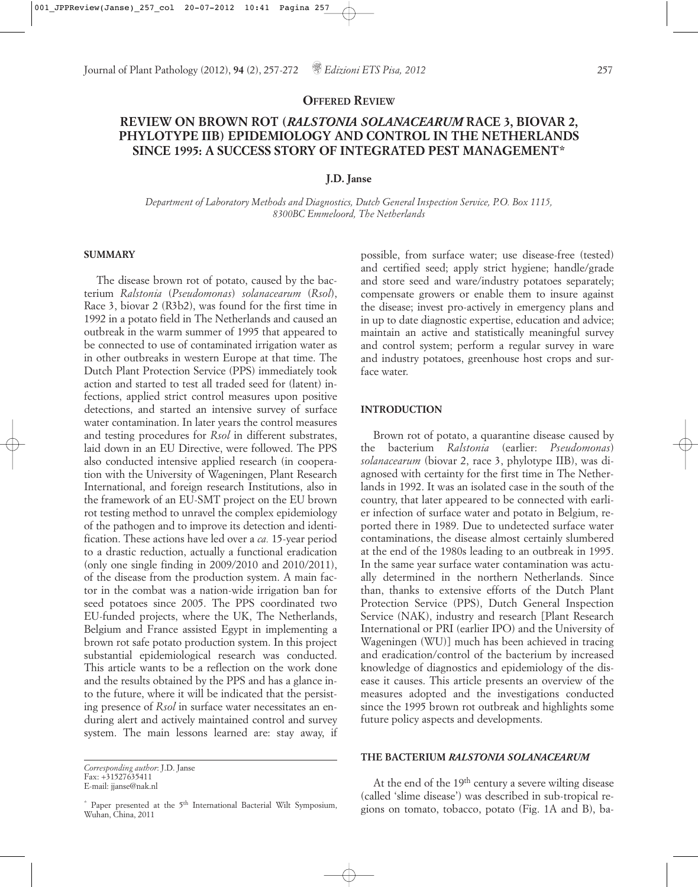**OFFERED REVIEW**

# **REVIEW ON BROWN ROT (***RALSTONIA SOLANACEARUM* **RACE 3, BIOVAR 2, PHYLOTYPE IIB) EPIDEMIOLOGY AND CONTROL IN THE NETHERLANDS SINCE 1995: A SUCCESS STORY OF INTEGRATED PEST MANAGEMENT\***

#### **J.D. Janse**

*Department of Laboratory Methods and Diagnostics, Dutch General Inspection Service, P.O. Box 1115, 8300BC Emmeloord, The Netherlands*

#### **SUMMARY**

The disease brown rot of potato, caused by the bacterium *Ralstonia* (*Pseudomonas*) *solanacearum* (*Rsol*), Race 3, biovar 2 (R3b2), was found for the first time in 1992 in a potato field in The Netherlands and caused an outbreak in the warm summer of 1995 that appeared to be connected to use of contaminated irrigation water as in other outbreaks in western Europe at that time. The Dutch Plant Protection Service (PPS) immediately took action and started to test all traded seed for (latent) infections, applied strict control measures upon positive detections, and started an intensive survey of surface water contamination. In later years the control measures and testing procedures for *Rsol* in different substrates, laid down in an EU Directive, were followed. The PPS also conducted intensive applied research (in cooperation with the University of Wageningen, Plant Research International, and foreign research Institutions, also in the framework of an EU-SMT project on the EU brown rot testing method to unravel the complex epidemiology of the pathogen and to improve its detection and identification. These actions have led over a *ca.* 15-year period to a drastic reduction, actually a functional eradication (only one single finding in 2009/2010 and 2010/2011), of the disease from the production system. A main factor in the combat was a nation-wide irrigation ban for seed potatoes since 2005. The PPS coordinated two EU-funded projects, where the UK, The Netherlands, Belgium and France assisted Egypt in implementing a brown rot safe potato production system. In this project substantial epidemiological research was conducted. This article wants to be a reflection on the work done and the results obtained by the PPS and has a glance into the future, where it will be indicated that the persisting presence of *Rsol* in surface water necessitates an enduring alert and actively maintained control and survey system. The main lessons learned are: stay away, if possible, from surface water; use disease-free (tested) and certified seed; apply strict hygiene; handle/grade and store seed and ware/industry potatoes separately; compensate growers or enable them to insure against the disease; invest pro-actively in emergency plans and in up to date diagnostic expertise, education and advice; maintain an active and statistically meaningful survey and control system; perform a regular survey in ware and industry potatoes, greenhouse host crops and surface water.

# **INTRODUCTION**

Brown rot of potato, a quarantine disease caused by the bacterium *Ralstonia* (earlier: *Pseudomonas*) *solanacearum* (biovar 2, race 3, phylotype IIB), was diagnosed with certainty for the first time in The Netherlands in 1992. It was an isolated case in the south of the country, that later appeared to be connected with earlier infection of surface water and potato in Belgium, reported there in 1989. Due to undetected surface water contaminations, the disease almost certainly slumbered at the end of the 1980s leading to an outbreak in 1995. In the same year surface water contamination was actually determined in the northern Netherlands. Since than, thanks to extensive efforts of the Dutch Plant Protection Service (PPS), Dutch General Inspection Service (NAK), industry and research [Plant Research International or PRI (earlier IPO) and the University of Wageningen (WU)] much has been achieved in tracing and eradication/control of the bacterium by increased knowledge of diagnostics and epidemiology of the disease it causes. This article presents an overview of the measures adopted and the investigations conducted since the 1995 brown rot outbreak and highlights some future policy aspects and developments.

### **THE BACTERIUM** *RALSTONIA SOLANACEARUM*

At the end of the 19th century a severe wilting disease (called 'slime disease') was described in sub-tropical regions on tomato, tobacco, potato (Fig. 1A and B), ba-

*Corresponding author*: J.D. Janse Fax: +31527635411 E-mail: jjanse@nak.nl

 $*$  Paper presented at the  $5<sup>th</sup>$  International Bacterial Wilt Symposium, Wuhan, China, 2011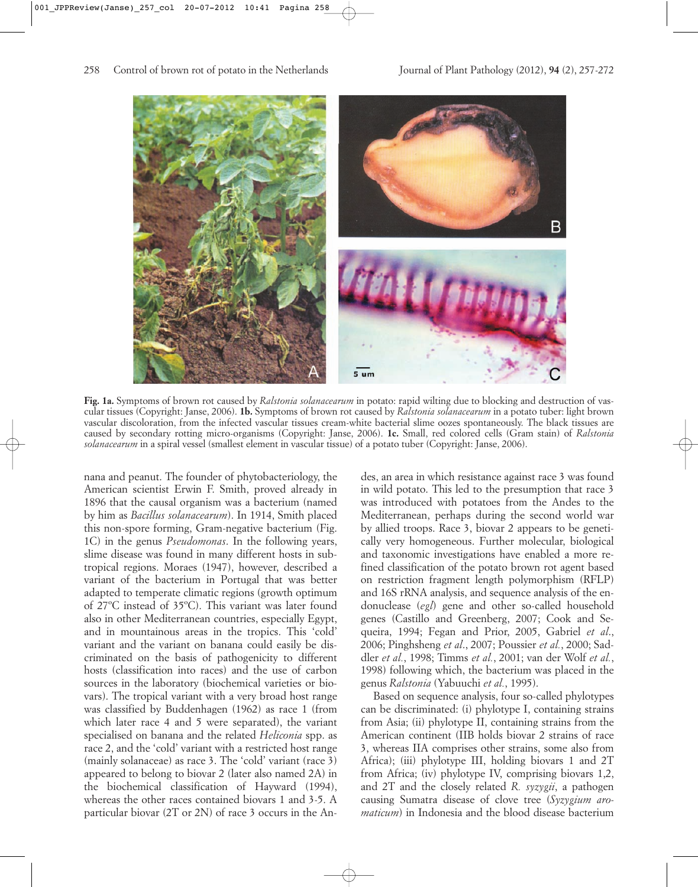

**Fig. 1a.** Symptoms of brown rot caused by *Ralstonia solanacearum* in potato: rapid wilting due to blocking and destruction of vascular tissues (Copyright: Janse, 2006). **1b.** Symptoms of brown rot caused by *Ralstonia solanacearum* in a potato tuber: light brown vascular discoloration, from the infected vascular tissues cream-white bacterial slime oozes spontaneously. The black tissues are caused by secondary rotting micro-organisms (Copyright: Janse, 2006). **1c.** Small, red colored cells (Gram stain) of *Ralstonia solanacearum* in a spiral vessel (smallest element in vascular tissue) of a potato tuber (Copyright: Janse, 2006).

nana and peanut. The founder of phytobacteriology, the American scientist Erwin F. Smith, proved already in 1896 that the causal organism was a bacterium (named by him as *Bacillus solanacearum*). In 1914, Smith placed this non-spore forming, Gram-negative bacterium (Fig. 1C) in the genus *Pseudomonas*. In the following years, slime disease was found in many different hosts in subtropical regions. Moraes (1947), however, described a variant of the bacterium in Portugal that was better adapted to temperate climatic regions (growth optimum of 27ºC instead of 35ºC). This variant was later found also in other Mediterranean countries, especially Egypt, and in mountainous areas in the tropics. This 'cold' variant and the variant on banana could easily be discriminated on the basis of pathogenicity to different hosts (classification into races) and the use of carbon sources in the laboratory (biochemical varieties or biovars). The tropical variant with a very broad host range was classified by Buddenhagen (1962) as race 1 (from which later race 4 and 5 were separated), the variant specialised on banana and the related *Heliconia* spp. as race 2, and the 'cold' variant with a restricted host range (mainly solanaceae) as race 3. The 'cold' variant (race 3) appeared to belong to biovar 2 (later also named 2A) in the biochemical classification of Hayward (1994), whereas the other races contained biovars 1 and 3-5. A particular biovar (2T or 2N) of race 3 occurs in the Andes, an area in which resistance against race 3 was found in wild potato. This led to the presumption that race 3 was introduced with potatoes from the Andes to the Mediterranean, perhaps during the second world war by allied troops. Race 3, biovar 2 appears to be genetically very homogeneous. Further molecular, biological and taxonomic investigations have enabled a more refined classification of the potato brown rot agent based on restriction fragment length polymorphism (RFLP) and 16S rRNA analysis, and sequence analysis of the endonuclease (*egl*) gene and other so-called household genes (Castillo and Greenberg, 2007; Cook and Sequeira, 1994; Fegan and Prior, 2005, Gabriel *et al*., 2006; Pinghsheng *et al*., 2007; Poussier *et al.*, 2000; Saddler *et al.*, 1998; Timms *et al.*, 2001; van der Wolf *et al.*, 1998) following which, the bacterium was placed in the genus *Ralstonia* (Yabuuchi *et al.*, 1995).

Based on sequence analysis, four so-called phylotypes can be discriminated: (i) phylotype I, containing strains from Asia; (ii) phylotype II, containing strains from the American continent (IIB holds biovar 2 strains of race 3, whereas IIA comprises other strains, some also from Africa); (iii) phylotype III, holding biovars 1 and 2T from Africa; (iv) phylotype IV, comprising biovars 1,2, and 2T and the closely related *R. syzygii*, a pathogen causing Sumatra disease of clove tree (*Syzygium aromaticum*) in Indonesia and the blood disease bacterium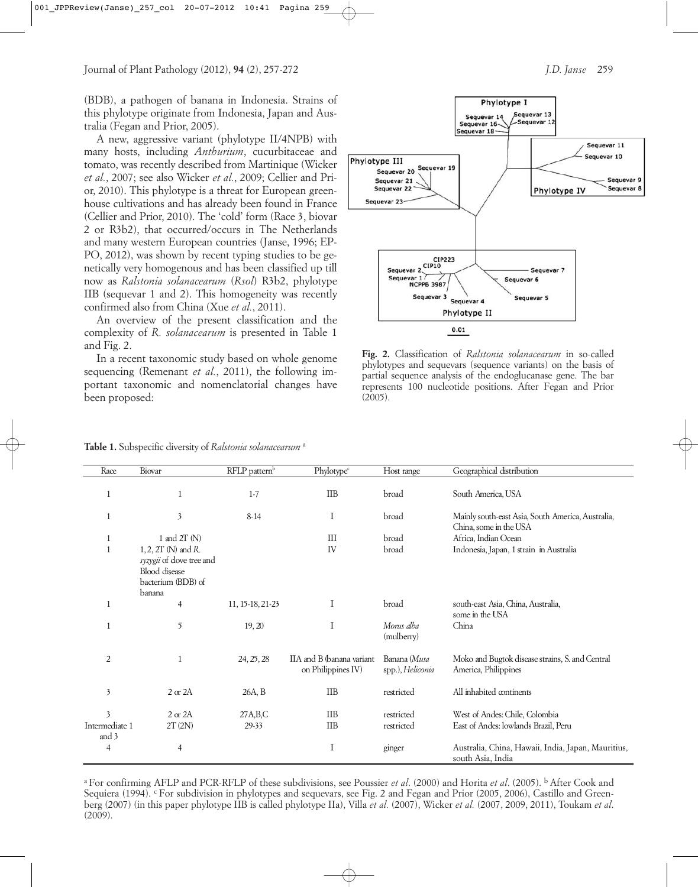(BDB), a pathogen of banana in Indonesia. Strains of this phylotype originate from Indonesia, Japan and Australia (Fegan and Prior, 2005).

A new, aggressive variant (phylotype II/4NPB) with many hosts, including *Anthurium*, cucurbitaceae and tomato, was recently described from Martinique (Wicker *et al.*, 2007; see also Wicker *et al.*, 2009; Cellier and Prior, 2010). This phylotype is a threat for European greenhouse cultivations and has already been found in France (Cellier and Prior, 2010). The 'cold' form (Race 3, biovar 2 or R3b2), that occurred/occurs in The Netherlands and many western European countries (Janse, 1996; EP-PO, 2012), was shown by recent typing studies to be genetically very homogenous and has been classified up till now as *Ralstonia solanacearum* (*Rsol*) R3b2, phylotype IIB (sequevar 1 and 2). This homogeneity was recently confirmed also from China (Xue *et al.*, 2011).

An overview of the present classification and the complexity of *R. solanacearum* is presented in Table 1 and Fig. 2.

In a recent taxonomic study based on whole genome sequencing (Remenant *et al.*, 2011), the following important taxonomic and nomenclatorial changes have been proposed:





**Fig. 2.** Classification of *Ralstonia solanacearum* in so-called phylotypes and sequevars (sequence variants) on the basis of partial sequence analysis of the endoglucanase gene. The bar represents 100 nucleotide positions. After Fegan and Prior  $(2005)$ .

|  |  |  |  |  |  | Table 1. Subspecific diversity of Ralstonia solanacearum <sup>a</sup> |  |
|--|--|--|--|--|--|-----------------------------------------------------------------------|--|
|--|--|--|--|--|--|-----------------------------------------------------------------------|--|

Race Biovar **RELP** pattern<sup>b</sup> Phylotype<sup>c</sup> Host range Geographical distribution 1 1 1-7 IIB broad South America USA 1 3 8-14 I broad Mainly south-east Asia, South America, Australia, China, some in the USA 1 and 2T (N) I I I control broad Africa. Indian Ocean 1 1, 2, 2T (N) and *R*. *syzygii* of dove tree and Blood disease bacterium (BDB) of **banana** IV broad Indonesia, Japan, 1 strain in Australia 1 11, 15-18, 21-23 I broad south-east Asia, China, Australia, some in the USA 1 5 19, 20 I *M o rusal ba*  (mulberry) China 2 1 24, 25, 28 IIA and B (banana variant on Philippines IV) Banana (Musa spp.), *Heliconia* Moko and Bugtok disease strains, S. and Central America, Philippines 3 2 or 2A 26A, B IIB restricted All inhabited ontinents 3 2 or 2A 27A, B, C IIB restricted West of Andes: Chile, Colombia Intermediate 1 and 3 2T(2N) 29-33 IIB restricted East of Andes: lowlands Brazil. Peru 4 1 1 1 ginger Australia, China, Hawaii, India, Japan, Mauritius, south Asia, India

a For confirming AFLP and PCR-RFLP of these subdivisions, see Poussier *et al*. (2000) and Horita *et al*. (2005). b After Cook and Sequiera (1994). <sup>c</sup> For subdivision in phylotypes and sequevars, see Fig. 2 and Fegan and Prior (2005, 2006), Castillo and Greenberg (2007) (in this paper phylotype IIB is called phylotype IIa), Villa *et al.* (2007), Wicker *et al.* (2007, 2009, 2011), Toukam *et al*. (2009).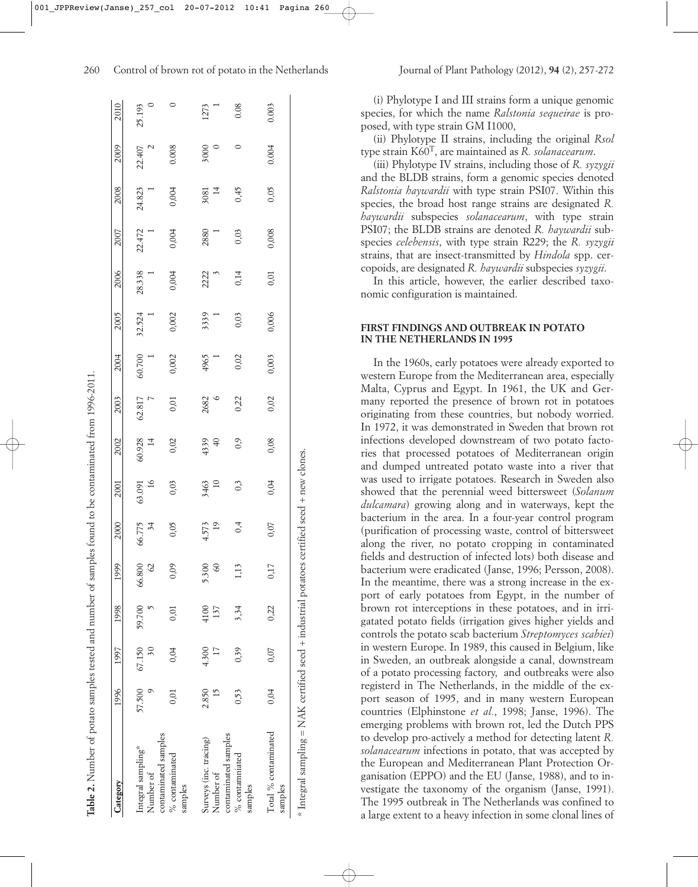| Category                          | 1996          | 1997  | 1998          | 1999          | 2000         | 2001         | 2002       | 2003   | 2004           | 2005           | 2006   | 2007   | 2008         | 2009        | 2010        |
|-----------------------------------|---------------|-------|---------------|---------------|--------------|--------------|------------|--------|----------------|----------------|--------|--------|--------------|-------------|-------------|
| Integral sampling*                | 57,500        |       | 67.150 59.700 | 66.800        | 66.775<br>34 | 63.091<br>16 | 60.928     | 62.817 | 60.700         | 32.524         | 28.338 | 22.472 | 24.823       | 22.407<br>2 | 25.193<br>0 |
| contaminated samples<br>Number of |               | 30    |               | $\mathcal{S}$ |              |              |            |        | $\overline{a}$ | $\overline{a}$ |        |        |              |             |             |
| % contaminated<br>samples         | 0.01          | 0.04  |               | 0,09          | 0,05         | 0,03         | 0,02       | 0,01   | 0,002          | 0,002          | 0,004  | 0,004  | 0,004        | 0.008       |             |
| Surveys (inc. tracing)            | 2.850         | 4.300 | 4100          | 5.300         | 4.573        | 3463<br>10   | 4339<br>40 | 2682   | 4965           | 3339           | 2222   | 2880   | $3081$<br>14 | 5000        | 1273        |
| contaminated samples<br>Number of | $\frac{5}{3}$ |       | 137           | $\mathcal{S}$ | 19           |              |            |        | i.             | Γ              |        | Ĩ.     |              |             |             |
| % contamniated<br>samples         | 0,53          | 0,39  | 3,34          | 113           | 0,4          | 0,3          | 0,9        | 0,22   | 0,02           | 0,03           | 0,14   | 0,03   | 0,45         | 0           | 0.08        |
| Total % contaminated<br>samples   | 0,04          | 0,07  | 0,22          | 0,17          | 0,07         | 0,04         | 0,08       | 0,02   | 0,003          | 0,006          | 0,01   | 0,008  | 0,05         | 0.004       | 0.003       |

Table 2. Number of potato samples tested and number of samples found to be contaminated from 1996-2011

Number of potato samples tested and number of samples found to be contaminated from 1996-2011.

(i) Phylotype I and III strains form a unique genomic species, for which the name *Ralstonia sequeirae* is proposed, with type strain GM I1000,

(ii) Phylotype II strains, including the original *Rsol* type strain K60T, are maintained as *R. solanacearum*.

(iii) Phylotype IV strains, including those of *R. syzygii* and the BLDB strains, form a genomic species denoted *Ralstonia haywardii* with type strain PSI07. Within this species, the broad host range strains are designated *R. haywardii* subspecies *solanacearum*, with type strain PSI07; the BLDB strains are denoted *R. haywardii* subspecies *celebensis*, with type strain R229; the *R. syzygii* strains, that are insect-transmitted by *Hindola* spp. cercopoids, are designated *R. haywardii* subspecies *syzygii*.

In this article, however, the earlier described taxonomic configuration is maintained.

#### **FIRST FINDINGS AND OUTBREAK IN POTATO IN THE NETHERLANDS IN 1995**

In the 1960s, early potatoes were already exported to western Europe from the Mediterranean area, especially Malta, Cyprus and Egypt. In 1961, the UK and Germany reported the presence of brown rot in potatoes originating from these countries, but nobody worried. In 1972, it was demonstrated in Sweden that brown rot infections developed downstream of two potato factories that processed potatoes of Mediterranean origin and dumped untreated potato waste into a river that was used to irrigate potatoes. Research in Sweden also showed that the perennial weed bittersweet (*Solanum dulcamara*) growing along and in waterways, kept the bacterium in the area. In a four-year control program (purification of processing waste, control of bittersweet along the river, no potato cropping in contaminated fields and destruction of infected lots) both disease and bacterium were eradicated (Janse, 1996; Persson, 2008). In the meantime, there was a strong increase in the export of early potatoes from Egypt, in the number of brown rot interceptions in these potatoes, and in irrigatated potato fields (irrigation gives higher yields and controls the potato scab bacterium *Streptomyces scabiei*) in western Europe. In 1989, this caused in Belgium, like in Sweden, an outbreak alongside a canal, downstream of a potato processing factory, and outbreaks were also registerd in The Netherlands, in the middle of the export season of 1995, and in many western European countries (Elphinstone *et al.*, 1998; Janse, 1996). The emerging problems with brown rot, led the Dutch PPS to develop pro-actively a method for detecting latent *R. solanacearum* infections in potato, that was accepted by the European and Mediterranean Plant Protection Organisation (EPPO) and the EU (Janse, 1988), and to investigate the taxonomy of the organism (Janse, 1991). The 1995 outbreak in The Netherlands was confined to a large extent to a heavy infection in some clonal lines of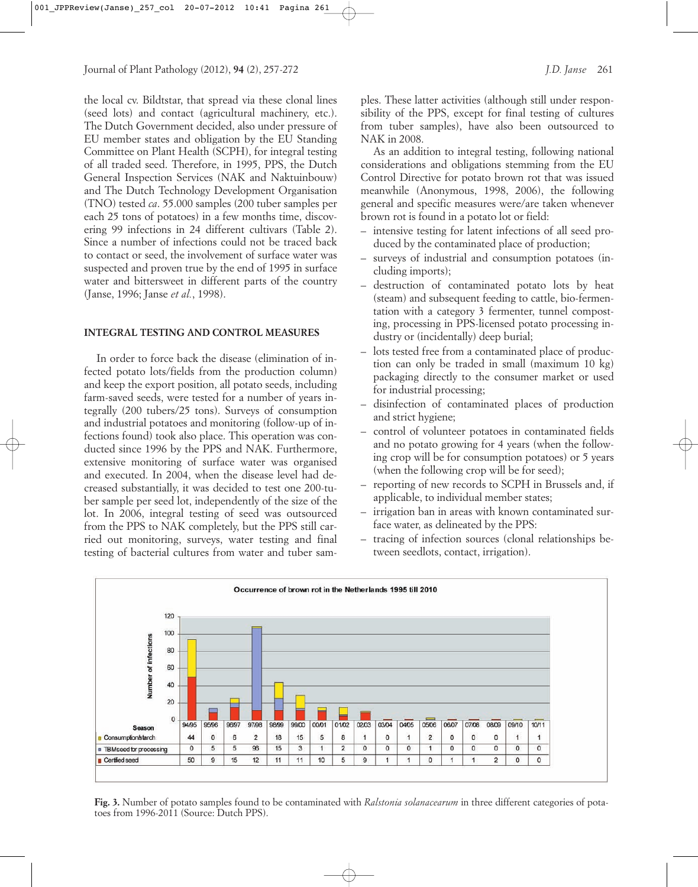the local cv. Bildtstar, that spread via these clonal lines (seed lots) and contact (agricultural machinery, etc.). The Dutch Government decided, also under pressure of EU member states and obligation by the EU Standing Committee on Plant Health (SCPH), for integral testing of all traded seed. Therefore, in 1995, PPS, the Dutch General Inspection Services (NAK and Naktuinbouw) and The Dutch Technology Development Organisation (TNO) tested *ca*. 55.000 samples (200 tuber samples per each 25 tons of potatoes) in a few months time, discovering 99 infections in 24 different cultivars (Table 2). Since a number of infections could not be traced back to contact or seed, the involvement of surface water was suspected and proven true by the end of 1995 in surface water and bittersweet in different parts of the country (Janse, 1996; Janse *et al.*, 1998).

## **INTEGRAL TESTING AND CONTROL MEASURES**

In order to force back the disease (elimination of infected potato lots/fields from the production column) and keep the export position, all potato seeds, including farm-saved seeds, were tested for a number of years integrally (200 tubers/25 tons). Surveys of consumption and industrial potatoes and monitoring (follow-up of infections found) took also place. This operation was conducted since 1996 by the PPS and NAK. Furthermore, extensive monitoring of surface water was organised and executed. In 2004, when the disease level had decreased substantially, it was decided to test one 200-tuber sample per seed lot, independently of the size of the lot. In 2006, integral testing of seed was outsourced from the PPS to NAK completely, but the PPS still carried out monitoring, surveys, water testing and final testing of bacterial cultures from water and tuber samples. These latter activities (although still under responsibility of the PPS, except for final testing of cultures from tuber samples), have also been outsourced to NAK in 2008.

As an addition to integral testing, following national considerations and obligations stemming from the EU Control Directive for potato brown rot that was issued meanwhile (Anonymous, 1998, 2006), the following general and specific measures were/are taken whenever brown rot is found in a potato lot or field:

- intensive testing for latent infections of all seed produced by the contaminated place of production;
- surveys of industrial and consumption potatoes (including imports);
- destruction of contaminated potato lots by heat (steam) and subsequent feeding to cattle, bio-fermentation with a category 3 fermenter, tunnel composting, processing in PPS-licensed potato processing industry or (incidentally) deep burial;
- lots tested free from a contaminated place of production can only be traded in small (maximum 10 kg) packaging directly to the consumer market or used for industrial processing;
- disinfection of contaminated places of production and strict hygiene;
- control of volunteer potatoes in contaminated fields and no potato growing for 4 years (when the following crop will be for consumption potatoes) or 5 years (when the following crop will be for seed);
- reporting of new records to SCPH in Brussels and, if applicable, to individual member states;
- irrigation ban in areas with known contaminated surface water, as delineated by the PPS:
- tracing of infection sources (clonal relationships between seedlots, contact, irrigation).



**Fig. 3.** Number of potato samples found to be contaminated with *Ralstonia solanacearum* in three different categories of potatoes from 1996-2011 (Source: Dutch PPS).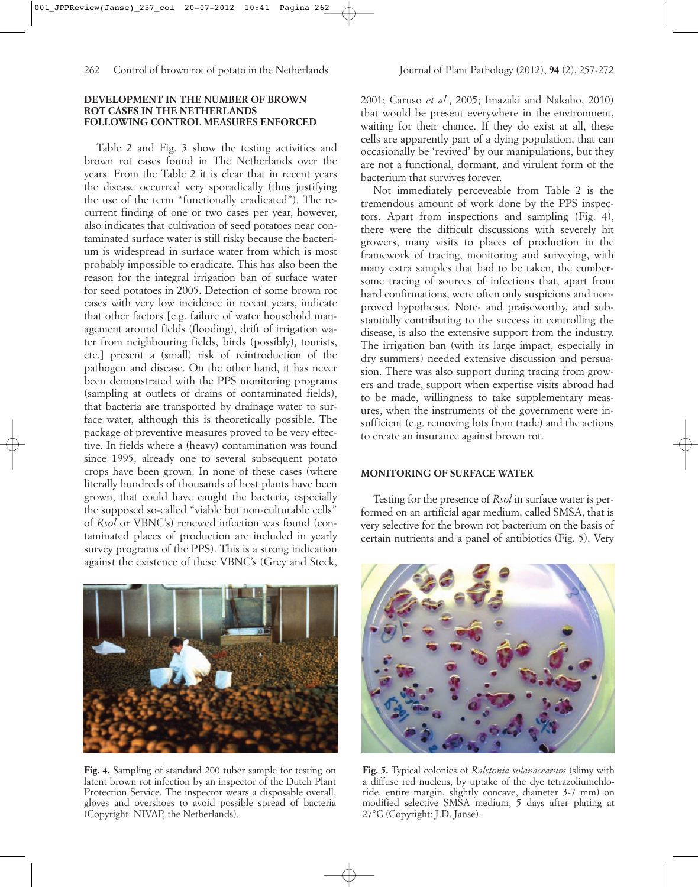#### **DEVELOPMENT IN THE NUMBER OF BROWN ROT CASES IN THE NETHERLANDS FOLLOWING CONTROL MEASURES ENFORCED**

Table 2 and Fig. 3 show the testing activities and brown rot cases found in The Netherlands over the years. From the Table 2 it is clear that in recent years the disease occurred very sporadically (thus justifying the use of the term "functionally eradicated"). The recurrent finding of one or two cases per year, however, also indicates that cultivation of seed potatoes near contaminated surface water is still risky because the bacterium is widespread in surface water from which is most probably impossible to eradicate. This has also been the reason for the integral irrigation ban of surface water for seed potatoes in 2005. Detection of some brown rot cases with very low incidence in recent years, indicate that other factors [e.g. failure of water household management around fields (flooding), drift of irrigation water from neighbouring fields, birds (possibly), tourists, etc.] present a (small) risk of reintroduction of the pathogen and disease. On the other hand, it has never been demonstrated with the PPS monitoring programs (sampling at outlets of drains of contaminated fields), that bacteria are transported by drainage water to surface water, although this is theoretically possible. The package of preventive measures proved to be very effective. In fields where a (heavy) contamination was found since 1995, already one to several subsequent potato crops have been grown. In none of these cases (where literally hundreds of thousands of host plants have been grown, that could have caught the bacteria, especially the supposed so-called "viable but non-culturable cells" of *Rsol* or VBNC's) renewed infection was found (contaminated places of production are included in yearly survey programs of the PPS). This is a strong indication against the existence of these VBNC's (Grey and Steck,



**Fig. 4.** Sampling of standard 200 tuber sample for testing on latent brown rot infection by an inspector of the Dutch Plant Protection Service. The inspector wears a disposable overall, gloves and overshoes to avoid possible spread of bacteria (Copyright: NIVAP, the Netherlands).

2001; Caruso *et al.*, 2005; Imazaki and Nakaho, 2010) that would be present everywhere in the environment, waiting for their chance. If they do exist at all, these cells are apparently part of a dying population, that can occasionally be 'revived' by our manipulations, but they are not a functional, dormant, and virulent form of the bacterium that survives forever.

Not immediately perceveable from Table 2 is the tremendous amount of work done by the PPS inspectors. Apart from inspections and sampling (Fig. 4), there were the difficult discussions with severely hit growers, many visits to places of production in the framework of tracing, monitoring and surveying, with many extra samples that had to be taken, the cumbersome tracing of sources of infections that, apart from hard confirmations, were often only suspicions and nonproved hypotheses. Note- and praiseworthy, and substantially contributing to the success in controlling the disease, is also the extensive support from the industry. The irrigation ban (with its large impact, especially in dry summers) needed extensive discussion and persuasion. There was also support during tracing from growers and trade, support when expertise visits abroad had to be made, willingness to take supplementary measures, when the instruments of the government were insufficient (e.g. removing lots from trade) and the actions to create an insurance against brown rot.

## **MONITORING OF SURFACE WATER**

Testing for the presence of *Rsol* in surface water is performed on an artificial agar medium, called SMSA, that is very selective for the brown rot bacterium on the basis of certain nutrients and a panel of antibiotics (Fig. 5). Very



**Fig. 5.** Typical colonies of *Ralstonia solanacearum* (slimy with a diffuse red nucleus, by uptake of the dye tetrazoliumchloride, entire margin, slightly concave, diameter 3-7 mm) on modified selective SMSA medium, 5 days after plating at 27°C (Copyright: J.D. Janse).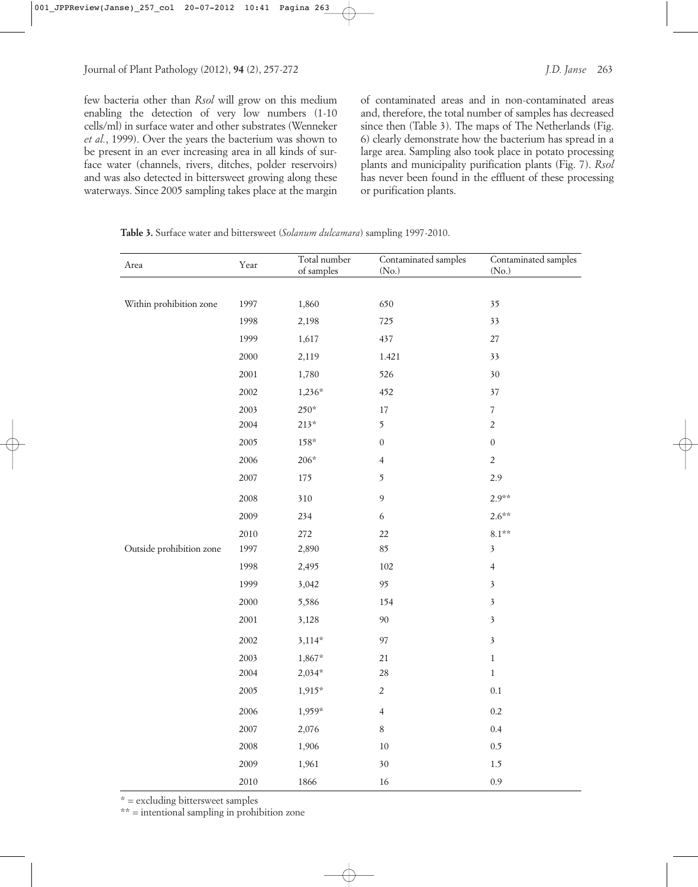few bacteria other than *Rsol* will grow on this medium enabling the detection of very low numbers (1-10 cells/ml) in surface water and other substrates (Wenneker *et al.*, 1999). Over the years the bacterium was shown to be present in an ever increasing area in all kinds of surface water (channels, rivers, ditches, polder reservoirs) and was also detected in bittersweet growing along these waterways. Since 2005 sampling takes place at the margin

of contaminated areas and in non-contaminated areas and, therefore, the total number of samples has decreased since then (Table 3). The maps of The Netherlands (Fig. 6) clearly demonstrate how the bacterium has spread in a large area. Sampling also took place in potato processing plants and municipality purification plants (Fig. 7). *Rsol* has never been found in the effluent of these processing or purification plants.

**Table 3.** Surface water and bittersweet (*Solanum dulcamara*) sampling 1997-2010.

| Area                     | Year | Total number<br>of samples | Contaminated samples<br>(No.) | Contaminated samples<br>(No.) |
|--------------------------|------|----------------------------|-------------------------------|-------------------------------|
|                          |      |                            |                               |                               |
| Within prohibition zone  | 1997 | 1,860                      | 650                           | 35                            |
|                          | 1998 | 2,198                      | 725                           | 33                            |
|                          | 1999 | 1,617                      | 437                           | $27\,$                        |
|                          | 2000 | 2,119                      | 1.421                         | 33                            |
|                          | 2001 | 1,780                      | 526                           | 30                            |
|                          | 2002 | $1,236*$                   | 452                           | 37                            |
|                          | 2003 | $250*$                     | $17\,$                        | $\boldsymbol{7}$              |
|                          | 2004 | $213*$                     | 5                             | $\sqrt{2}$                    |
|                          | 2005 | $158*$                     | $\boldsymbol{0}$              | $\boldsymbol{0}$              |
|                          | 2006 | $206*$                     | $\overline{4}$                | $\sqrt{2}$                    |
|                          | 2007 | 175                        | 5                             | 2.9                           |
|                          | 2008 | 310                        | $\mathbf 9$                   | $2.9**$                       |
|                          | 2009 | 234                        | $\epsilon$                    | $2.6***$                      |
|                          | 2010 | 272                        | 22                            | $8.1**$                       |
| Outside prohibition zone | 1997 | 2,890                      | 85                            | $\mathfrak{Z}$                |
|                          | 1998 | 2,495                      | $102\,$                       | $\overline{4}$                |
|                          | 1999 | 3,042                      | 95                            | $\mathfrak{Z}$                |
|                          | 2000 | 5,586                      | 154                           | $\mathfrak{Z}$                |
|                          | 2001 | 3,128                      | 90                            | $\mathfrak{Z}$                |
|                          | 2002 | $3,114*$                   | 97                            | $\overline{\mathbf{3}}$       |
|                          | 2003 | $1,867*$                   | 21                            | $\,1$                         |
|                          | 2004 | $2,034*$                   | 28                            | $\,1\,$                       |
|                          | 2005 | $1,915*$                   | $\overline{c}$                | $0.1\,$                       |
|                          | 2006 | $1,959*$                   | $\overline{4}$                | $0.2\,$                       |
|                          | 2007 | 2,076                      | $\,8\,$                       | 0.4                           |
|                          | 2008 | 1,906                      | $10\,$                        | $0.5\,$                       |
|                          | 2009 | 1,961                      | 30                            | 1.5                           |
|                          | 2010 | 1866                       | 16                            | 0.9                           |

\* = excluding bittersweet samples

\*\* = intentional sampling in prohibition zone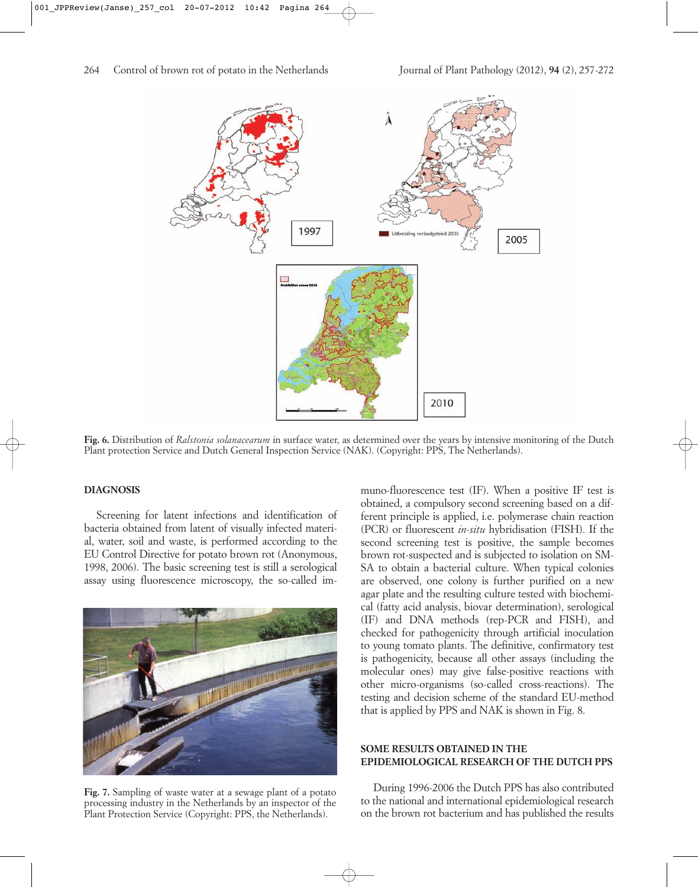

**Fig. 6.** Distribution of *Ralstonia solanacearum* in surface water, as determined over the years by intensive monitoring of the Dutch Plant protection Service and Dutch General Inspection Service (NAK). (Copyright: PPS, The Netherlands).

#### **DIAGNOSIS**

Screening for latent infections and identification of bacteria obtained from latent of visually infected material, water, soil and waste, is performed according to the EU Control Directive for potato brown rot (Anonymous, 1998, 2006). The basic screening test is still a serological assay using fluorescence microscopy, the so-called im-



**Fig. 7.** Sampling of waste water at a sewage plant of a potato processing industry in the Netherlands by an inspector of the Plant Protection Service (Copyright: PPS, the Netherlands).

muno-fluorescence test (IF). When a positive IF test is obtained, a compulsory second screening based on a different principle is applied, i.e. polymerase chain reaction (PCR) or fluorescent *in-situ* hybridisation (FISH). If the second screening test is positive, the sample becomes brown rot-suspected and is subjected to isolation on SM-SA to obtain a bacterial culture. When typical colonies are observed, one colony is further purified on a new agar plate and the resulting culture tested with biochemical (fatty acid analysis, biovar determination), serological (IF) and DNA methods (rep-PCR and FISH), and checked for pathogenicity through artificial inoculation to young tomato plants. The definitive, confirmatory test is pathogenicity, because all other assays (including the molecular ones) may give false-positive reactions with other micro-organisms (so-called cross-reactions). The testing and decision scheme of the standard EU-method that is applied by PPS and NAK is shown in Fig. 8.

## **SOME RESULTS OBTAINED IN THE EPIDEMIOLOGICAL RESEARCH OF THE DUTCH PPS**

During 1996-2006 the Dutch PPS has also contributed to the national and international epidemiological research on the brown rot bacterium and has published the results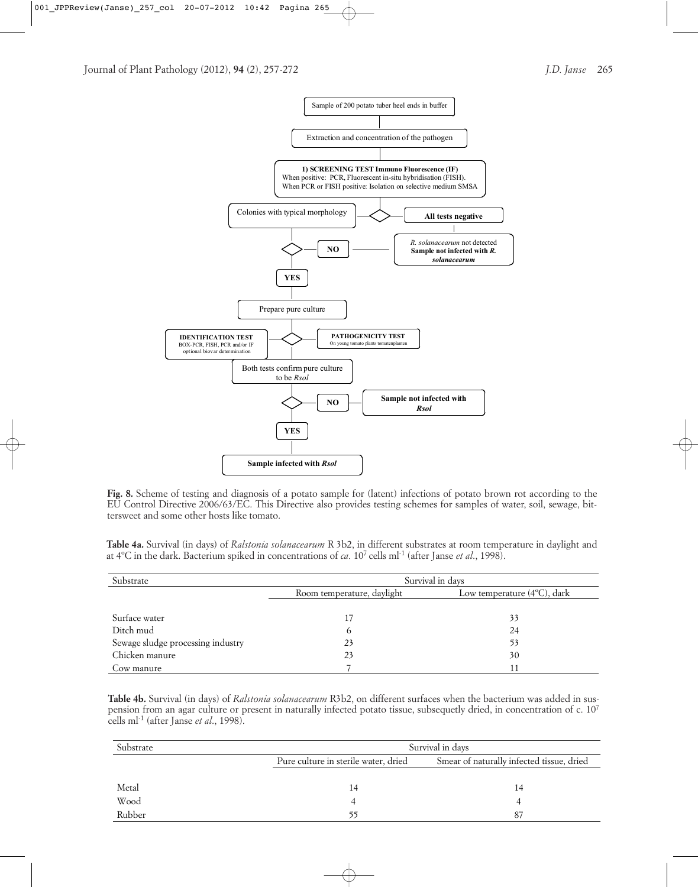

**Fig. 8.** Scheme of testing and diagnosis of a potato sample for (latent) infections of potato brown rot according to the EU Control Directive 2006/63/EC. This Directive also provides testing schemes for samples of water, soil, sewage, bittersweet and some other hosts like tomato.

**Table 4a.** Survival (in days) of *Ralstonia solanacearum* R 3b2, in different substrates at room temperature in daylight and at 4ºC in the dark. Bacterium spiked in concentrations of *ca.* 107 cells ml-1 (after Janse *et al*., 1998).

| Substrate                         | Survival in days           |                                       |  |  |
|-----------------------------------|----------------------------|---------------------------------------|--|--|
|                                   | Room temperature, daylight | Low temperature $(4^{\circ}C)$ , dark |  |  |
|                                   |                            |                                       |  |  |
| Surface water                     | 17                         | 33                                    |  |  |
| Ditch mud                         | o                          | 24                                    |  |  |
| Sewage sludge processing industry | 23                         | 53                                    |  |  |
| Chicken manure                    | 23                         | 30                                    |  |  |
| Cow manure                        |                            |                                       |  |  |

**Table 4b.** Survival (in days) of *Ralstonia solanacearum* R3b2, on different surfaces when the bacterium was added in suspension from an agar culture or present in naturally infected potato tissue, subsequetly dried, in concentration of c. 107 cells ml-1 (after Janse *et al*., 1998).

| Substrate |                                      | Survival in days                          |  |  |  |  |
|-----------|--------------------------------------|-------------------------------------------|--|--|--|--|
|           | Pure culture in sterile water, dried | Smear of naturally infected tissue, dried |  |  |  |  |
|           |                                      |                                           |  |  |  |  |
| Metal     | 14                                   | 14                                        |  |  |  |  |
| Wood      |                                      |                                           |  |  |  |  |
| Rubber    |                                      | 87                                        |  |  |  |  |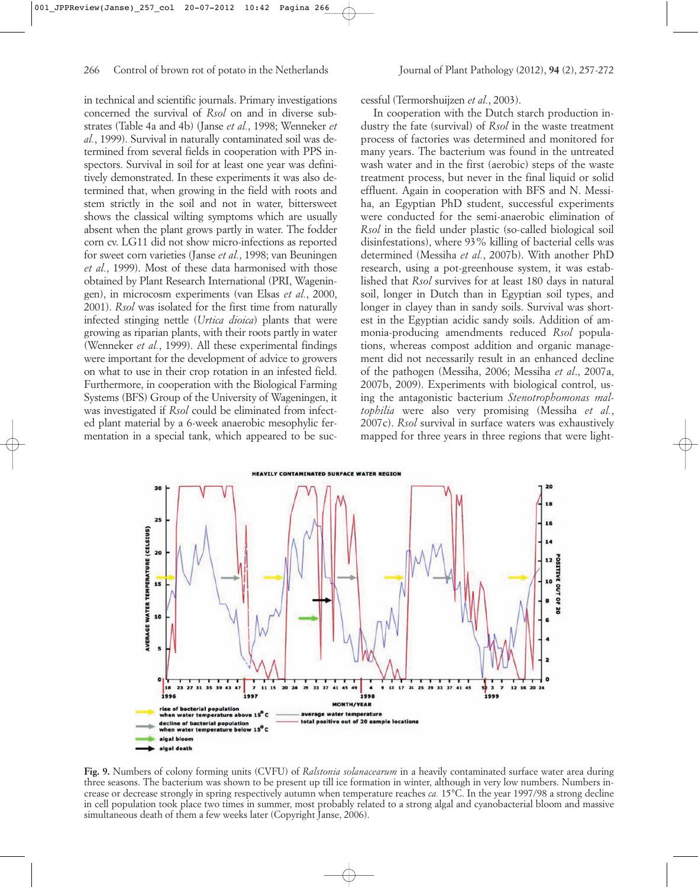in technical and scientific journals. Primary investigations concerned the survival of *Rsol* on and in diverse substrates (Table 4a and 4b) (Janse *et al.*, 1998; Wenneker *et al.*, 1999). Survival in naturally contaminated soil was determined from several fields in cooperation with PPS inspectors. Survival in soil for at least one year was definitively demonstrated. In these experiments it was also determined that, when growing in the field with roots and stem strictly in the soil and not in water, bittersweet shows the classical wilting symptoms which are usually absent when the plant grows partly in water. The fodder corn cv. LG11 did not show micro-infections as reported for sweet corn varieties (Janse *et al.*, 1998; van Beuningen *et al.*, 1999). Most of these data harmonised with those obtained by Plant Research International (PRI, Wageningen), in microcosm experiments (van Elsas *et al.*, 2000, 2001). *Rsol* was isolated for the first time from naturally infected stinging nettle (*Urtica dioica*) plants that were growing as riparian plants, with their roots partly in water (Wenneker *et al.*, 1999). All these experimental findings were important for the development of advice to growers on what to use in their crop rotation in an infested field. Furthermore, in cooperation with the Biological Farming Systems (BFS) Group of the University of Wageningen, it was investigated if *Rsol* could be eliminated from infected plant material by a 6-week anaerobic mesophylic fermentation in a special tank, which appeared to be successful (Termorshuijzen *et al.*, 2003).

In cooperation with the Dutch starch production industry the fate (survival) of *Rsol* in the waste treatment process of factories was determined and monitored for many years. The bacterium was found in the untreated wash water and in the first (aerobic) steps of the waste treatment process, but never in the final liquid or solid effluent. Again in cooperation with BFS and N. Messiha, an Egyptian PhD student, successful experiments were conducted for the semi-anaerobic elimination of *Rsol* in the field under plastic (so-called biological soil disinfestations), where 93% killing of bacterial cells was determined (Messiha *et al.*, 2007b). With another PhD research, using a pot-greenhouse system, it was established that *Rsol* survives for at least 180 days in natural soil, longer in Dutch than in Egyptian soil types, and longer in clayey than in sandy soils. Survival was shortest in the Egyptian acidic sandy soils. Addition of ammonia-producing amendments reduced *Rsol* populations, whereas compost addition and organic management did not necessarily result in an enhanced decline of the pathogen (Messiha, 2006; Messiha *et al*., 2007a, 2007b, 2009). Experiments with biological control, using the antagonistic bacterium *Stenotrophomonas maltophilia* were also very promising (Messiha *et al.*, 2007c). *Rsol* survival in surface waters was exhaustively mapped for three years in three regions that were light-



**Fig. 9.** Numbers of colony forming units (CVFU) of *Ralstonia solanacearum* in a heavily contaminated surface water area during three seasons. The bacterium was shown to be present up till ice formation in winter, although in very low numbers. Numbers increase or decrease strongly in spring respectively autumn when temperature reaches *ca.* 15°C. In the year 1997/98 a strong decline in cell population took place two times in summer, most probably related to a strong algal and cyanobacterial bloom and massive simultaneous death of them a few weeks later (Copyright Janse, 2006).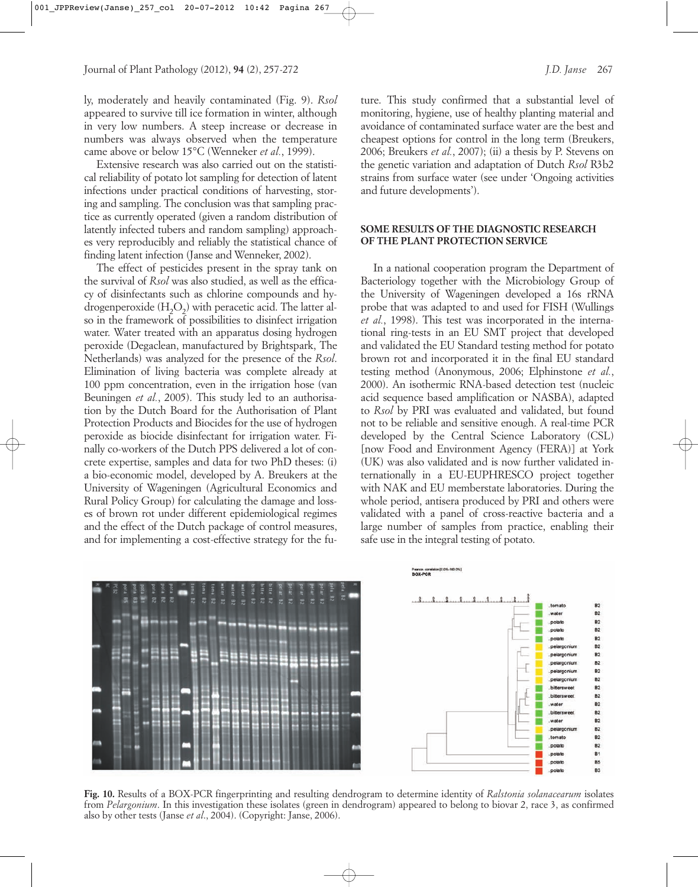ly, moderately and heavily contaminated (Fig. 9). *Rsol* appeared to survive till ice formation in winter, although in very low numbers. A steep increase or decrease in numbers was always observed when the temperature came above or below 15°C (Wenneker *et al.*, 1999).

Extensive research was also carried out on the statistical reliability of potato lot sampling for detection of latent infections under practical conditions of harvesting, storing and sampling. The conclusion was that sampling practice as currently operated (given a random distribution of latently infected tubers and random sampling) approaches very reproducibly and reliably the statistical chance of finding latent infection (Janse and Wenneker, 2002).

The effect of pesticides present in the spray tank on the survival of *Rsol* was also studied, as well as the efficacy of disinfectants such as chlorine compounds and hydrogenperoxide  $(H<sub>2</sub>O<sub>2</sub>)$  with peracetic acid. The latter also in the framework of possibilities to disinfect irrigation water. Water treated with an apparatus dosing hydrogen peroxide (Degaclean, manufactured by Brightspark, The Netherlands) was analyzed for the presence of the *Rsol*. Elimination of living bacteria was complete already at 100 ppm concentration, even in the irrigation hose (van Beuningen *et al.*, 2005). This study led to an authorisation by the Dutch Board for the Authorisation of Plant Protection Products and Biocides for the use of hydrogen peroxide as biocide disinfectant for irrigation water. Finally co-workers of the Dutch PPS delivered a lot of concrete expertise, samples and data for two PhD theses: (i) a bio-economic model, developed by A. Breukers at the University of Wageningen (Agricultural Economics and Rural Policy Group) for calculating the damage and losses of brown rot under different epidemiological regimes and the effect of the Dutch package of control measures, and for implementing a cost-effective strategy for the fu-

ture. This study confirmed that a substantial level of monitoring, hygiene, use of healthy planting material and avoidance of contaminated surface water are the best and cheapest options for control in the long term (Breukers, 2006; Breukers *et al.*, 2007); (ii) a thesis by P. Stevens on the genetic variation and adaptation of Dutch *Rsol* R3b2 strains from surface water (see under 'Ongoing activities and future developments').

## **SOME RESULTS OF THE DIAGNOSTIC RESEARCH OF THE PLANT PROTECTION SERVICE**

In a national cooperation program the Department of Bacteriology together with the Microbiology Group of the University of Wageningen developed a 16s rRNA probe that was adapted to and used for FISH (Wullings *et al.*, 1998). This test was incorporated in the international ring-tests in an EU SMT project that developed and validated the EU Standard testing method for potato brown rot and incorporated it in the final EU standard testing method (Anonymous, 2006; Elphinstone *et al.*, 2000). An isothermic RNA-based detection test (nucleic acid sequence based amplification or NASBA), adapted to *Rsol* by PRI was evaluated and validated, but found not to be reliable and sensitive enough. A real-time PCR developed by the Central Science Laboratory (CSL) [now Food and Environment Agency (FERA)] at York (UK) was also validated and is now further validated internationally in a EU-EUPHRESCO project together with NAK and EU memberstate laboratories. During the whole period, antisera produced by PRI and others were validated with a panel of cross-reactive bacteria and a large number of samples from practice, enabling their safe use in the integral testing of potato.



**Fig. 10.** Results of a BOX-PCR fingerprinting and resulting dendrogram to determine identity of *Ralstonia solanacearum* isolates from *Pelargonium*. In this investigation these isolates (green in dendrogram) appeared to belong to biovar 2, race 3, as confirmed also by other tests (Janse *et al*., 2004). (Copyright: Janse, 2006).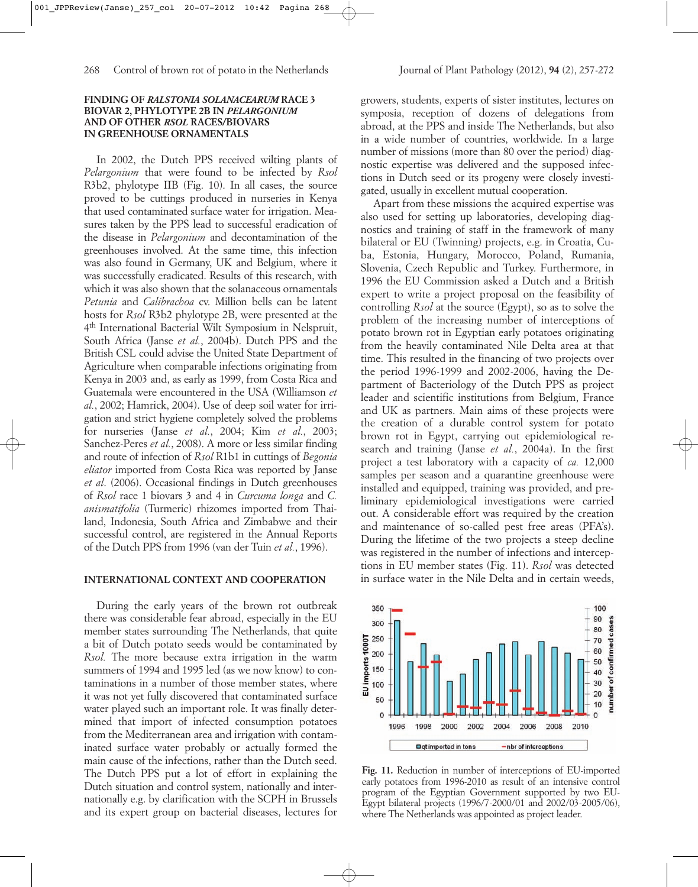#### **FINDING OF** *RALSTONIA SOLANACEARUM* **RACE 3 BIOVAR 2, PHYLOTYPE 2B IN** *PELARGONIUM* **AND OF OTHER** *RSOL* **RACES/BIOVARS IN GREENHOUSE ORNAMENTALS**

In 2002, the Dutch PPS received wilting plants of *Pelargonium* that were found to be infected by *Rsol* R3b2, phylotype IIB (Fig. 10). In all cases, the source proved to be cuttings produced in nurseries in Kenya that used contaminated surface water for irrigation. Measures taken by the PPS lead to successful eradication of the disease in *Pelargonium* and decontamination of the greenhouses involved. At the same time, this infection was also found in Germany, UK and Belgium, where it was successfully eradicated. Results of this research, with which it was also shown that the solanaceous ornamentals *Petunia* and *Calibrachoa* cv. Million bells can be latent hosts for *Rsol* R3b2 phylotype 2B, were presented at the 4th International Bacterial Wilt Symposium in Nelspruit, South Africa (Janse *et al.*, 2004b). Dutch PPS and the British CSL could advise the United State Department of Agriculture when comparable infections originating from Kenya in 2003 and, as early as 1999, from Costa Rica and Guatemala were encountered in the USA (Williamson *et al.*, 2002; Hamrick, 2004). Use of deep soil water for irrigation and strict hygiene completely solved the problems for nurseries (Janse *et al.*, 2004; Kim *et al.*, 2003; Sanchez-Peres *et al.*, 2008). A more or less similar finding and route of infection of *Rsol* R1b1 in cuttings of *Begonia eliator* imported from Costa Rica was reported by Janse *et al*. (2006). Occasional findings in Dutch greenhouses of *Rsol* race 1 biovars 3 and 4 in *Curcuma longa* and *C. anismatifolia* (Turmeric) rhizomes imported from Thailand, Indonesia, South Africa and Zimbabwe and their successful control, are registered in the Annual Reports of the Dutch PPS from 1996 (van der Tuin *et al.*, 1996).

## **INTERNATIONAL CONTEXT AND COOPERATION**

During the early years of the brown rot outbreak there was considerable fear abroad, especially in the EU member states surrounding The Netherlands, that quite a bit of Dutch potato seeds would be contaminated by *Rsol.* The more because extra irrigation in the warm summers of 1994 and 1995 led (as we now know) to contaminations in a number of those member states, where it was not yet fully discovered that contaminated surface water played such an important role. It was finally determined that import of infected consumption potatoes from the Mediterranean area and irrigation with contaminated surface water probably or actually formed the main cause of the infections, rather than the Dutch seed. The Dutch PPS put a lot of effort in explaining the Dutch situation and control system, nationally and internationally e.g. by clarification with the SCPH in Brussels and its expert group on bacterial diseases, lectures for growers, students, experts of sister institutes, lectures on symposia, reception of dozens of delegations from abroad, at the PPS and inside The Netherlands, but also in a wide number of countries, worldwide. In a large number of missions (more than 80 over the period) diagnostic expertise was delivered and the supposed infections in Dutch seed or its progeny were closely investigated, usually in excellent mutual cooperation.

Apart from these missions the acquired expertise was also used for setting up laboratories, developing diagnostics and training of staff in the framework of many bilateral or EU (Twinning) projects, e.g. in Croatia, Cuba, Estonia, Hungary, Morocco, Poland, Rumania, Slovenia, Czech Republic and Turkey. Furthermore, in 1996 the EU Commission asked a Dutch and a British expert to write a project proposal on the feasibility of controlling *Rsol* at the source (Egypt), so as to solve the problem of the increasing number of interceptions of potato brown rot in Egyptian early potatoes originating from the heavily contaminated Nile Delta area at that time. This resulted in the financing of two projects over the period 1996-1999 and 2002-2006, having the Department of Bacteriology of the Dutch PPS as project leader and scientific institutions from Belgium, France and UK as partners. Main aims of these projects were the creation of a durable control system for potato brown rot in Egypt, carrying out epidemiological research and training (Janse *et al.*, 2004a). In the first project a test laboratory with a capacity of *ca.* 12,000 samples per season and a quarantine greenhouse were installed and equipped, training was provided, and preliminary epidemiological investigations were carried out. A considerable effort was required by the creation and maintenance of so-called pest free areas (PFA's). During the lifetime of the two projects a steep decline was registered in the number of infections and interceptions in EU member states (Fig. 11). *Rsol* was detected in surface water in the Nile Delta and in certain weeds,



**Fig. 11.** Reduction in number of interceptions of EU-imported early potatoes from 1996-2010 as result of an intensive control program of the Egyptian Government supported by two EU-Egypt bilateral projects (1996/7-2000/01 and 2002/03-2005/06), where The Netherlands was appointed as project leader.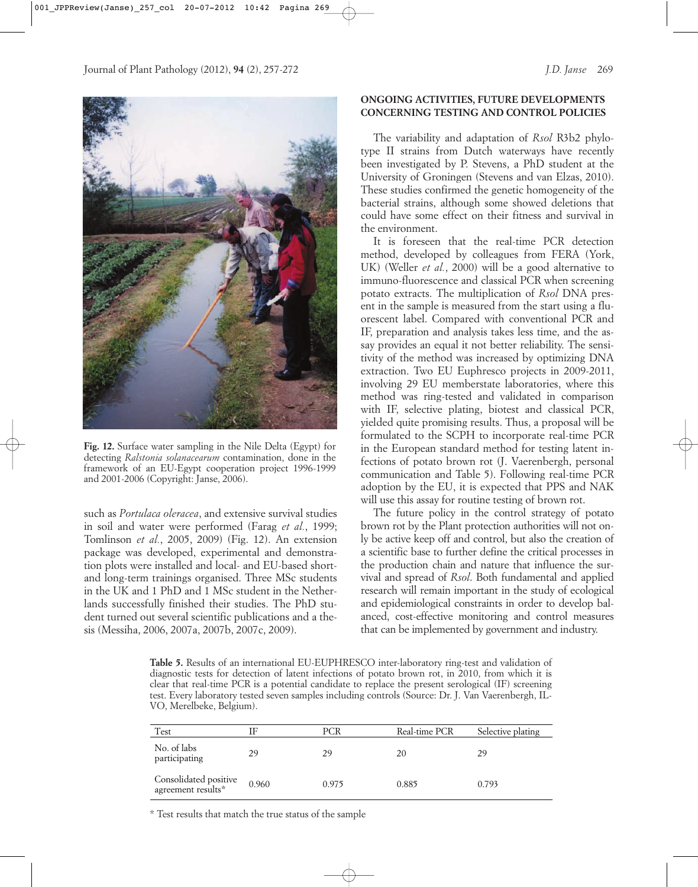

**Fig. 12.** Surface water sampling in the Nile Delta (Egypt) for detecting *Ralstonia solanacearum* contamination, done in the framework of an EU-Egypt cooperation project 1996-1999 and 2001-2006 (Copyright: Janse, 2006).

such as *Portulaca oleracea*, and extensive survival studies in soil and water were performed (Farag *et al.*, 1999; Tomlinson *et al.*, 2005, 2009) (Fig. 12). An extension package was developed, experimental and demonstration plots were installed and local- and EU-based shortand long-term trainings organised. Three MSc students in the UK and 1 PhD and 1 MSc student in the Netherlands successfully finished their studies. The PhD student turned out several scientific publications and a thesis (Messiha, 2006, 2007a, 2007b, 2007c, 2009).

# **ONGOING ACTIVITIES, FUTURE DEVELOPMENTS CONCERNING TESTING AND CONTROL POLICIES**

The variability and adaptation of *Rsol* R3b2 phylotype II strains from Dutch waterways have recently been investigated by P. Stevens, a PhD student at the University of Groningen (Stevens and van Elzas, 2010). These studies confirmed the genetic homogeneity of the bacterial strains, although some showed deletions that could have some effect on their fitness and survival in the environment.

It is foreseen that the real-time PCR detection method, developed by colleagues from FERA (York, UK) (Weller *et al.*, 2000) will be a good alternative to immuno-fluorescence and classical PCR when screening potato extracts. The multiplication of *Rsol* DNA present in the sample is measured from the start using a fluorescent label. Compared with conventional PCR and IF, preparation and analysis takes less time, and the assay provides an equal it not better reliability. The sensitivity of the method was increased by optimizing DNA extraction. Two EU Euphresco projects in 2009-2011, involving 29 EU memberstate laboratories, where this method was ring-tested and validated in comparison with IF, selective plating, biotest and classical PCR, yielded quite promising results. Thus, a proposal will be formulated to the SCPH to incorporate real-time PCR in the European standard method for testing latent infections of potato brown rot (J. Vaerenbergh, personal communication and Table 5). Following real-time PCR adoption by the EU, it is expected that PPS and NAK will use this assay for routine testing of brown rot.

The future policy in the control strategy of potato brown rot by the Plant protection authorities will not only be active keep off and control, but also the creation of a scientific base to further define the critical processes in the production chain and nature that influence the survival and spread of *Rsol*. Both fundamental and applied research will remain important in the study of ecological and epidemiological constraints in order to develop balanced, cost-effective monitoring and control measures that can be implemented by government and industry.

**Table 5.** Results of an international EU-EUPHRESCO inter-laboratory ring-test and validation of diagnostic tests for detection of latent infections of potato brown rot, in 2010, from which it is clear that real-time PCR is a potential candidate to replace the present serological (IF) screening test. Every laboratory tested seven samples including controls (Source: Dr. J. Van Vaerenbergh, IL-VO, Merelbeke, Belgium).

| Test                                        |       | PCR   | Real-time PCR | Selective plating |
|---------------------------------------------|-------|-------|---------------|-------------------|
| No. of labs<br>participating                | 29    | 29    | 20            | 29                |
| Consolidated positive<br>agreement results* | 0.960 | 0.975 | 0.885         | 0.793             |

\* Test results that match the true status of the sample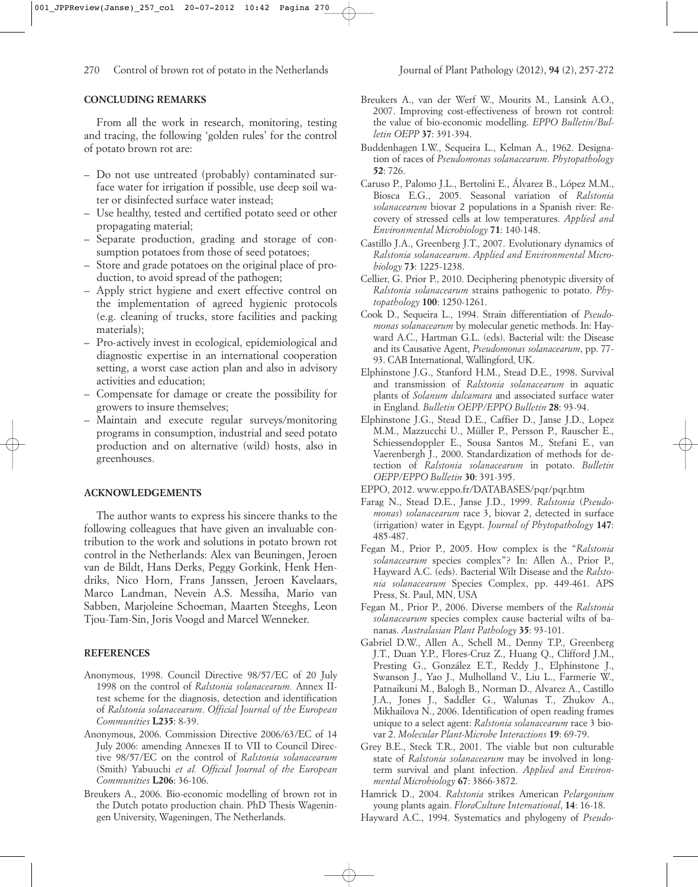## **CONCLUDING REMARKS**

From all the work in research, monitoring, testing and tracing, the following 'golden rules' for the control of potato brown rot are:

- Do not use untreated (probably) contaminated surface water for irrigation if possible, use deep soil water or disinfected surface water instead;
- Use healthy, tested and certified potato seed or other propagating material;
- Separate production, grading and storage of consumption potatoes from those of seed potatoes;
- Store and grade potatoes on the original place of production, to avoid spread of the pathogen;
- Apply strict hygiene and exert effective control on the implementation of agreed hygienic protocols (e.g. cleaning of trucks, store facilities and packing materials);
- Pro-actively invest in ecological, epidemiological and diagnostic expertise in an international cooperation setting, a worst case action plan and also in advisory activities and education;
- Compensate for damage or create the possibility for growers to insure themselves;
- Maintain and execute regular surveys/monitoring programs in consumption, industrial and seed potato production and on alternative (wild) hosts, also in greenhouses.

#### **ACKNOWLEDGEMENTS**

The author wants to express his sincere thanks to the following colleagues that have given an invaluable contribution to the work and solutions in potato brown rot control in the Netherlands: Alex van Beuningen, Jeroen van de Bildt, Hans Derks, Peggy Gorkink, Henk Hendriks, Nico Horn, Frans Janssen, Jeroen Kavelaars, Marco Landman, Nevein A.S. Messiha, Mario van Sabben, Marjoleine Schoeman, Maarten Steeghs, Leon Tjou-Tam-Sin, Joris Voogd and Marcel Wenneker.

#### **REFERENCES**

- Anonymous, 1998. Council Directive 98/57/EC of 20 July 1998 on the control of *Ralstonia solanacearum.* Annex IItest scheme for the diagnosis, detection and identification of *Ralstonia solanacearum*. *Official Journal of the European Communities* **L235**: 8-39.
- Anonymous, 2006. Commission Directive 2006/63/EC of 14 July 2006: amending Annexes II to VII to Council Directive 98/57/EC on the control of *Ralstonia solanacearum* (Smith) Yabuuchi *et al. Official Journal of the European Communities* **L206**: 36-106.
- Breukers A., 2006. Bio-economic modelling of brown rot in the Dutch potato production chain. PhD Thesis Wageningen University, Wageningen, The Netherlands.
- Breukers A., van der Werf W., Mourits M., Lansink A.O., 2007. Improving cost-effectiveness of brown rot control: the value of bio-economic modelling. *EPPO Bulletin/Bulletin OEPP* **37**: 391-394.
- Buddenhagen I.W., Sequeira L., Kelman A., 1962. Designation of races of *Pseudomonas solanacearum*. *Phytopathology* **52**: 726.
- Caruso P., Palomo J.L., Bertolini E., Álvarez B., López M.M., Biosca E.G., 2005. Seasonal variation of *Ralstonia solanacearum* biovar 2 populations in a Spanish river: Recovery of stressed cells at low temperatures. *Applied and Environmental Microbiology* **71**: 140-148.
- Castillo J.A., Greenberg J.T., 2007. Evolutionary dynamics of *Ralstonia solanacearum*. *Applied and Environmental Microbiology* **73**: 1225-1238.
- Cellier, G. Prior P., 2010. Deciphering phenotypic diversity of *Ralstonia solanacearum* strains pathogenic to potato. *Phytopathology* **100**: 1250-1261.
- Cook D., Sequeira L., 1994. Strain differentiation of *Pseudomonas solanacearum* by molecular genetic methods. In: Hayward A.C., Hartman G.L. (eds). Bacterial wilt: the Disease and its Causative Agent, *Pseudomonas solanacearum*, pp. 77- 93. CAB International, Wallingford, UK.
- Elphinstone J.G., Stanford H.M., Stead D.E., 1998. Survival and transmission of *Ralstonia solanacearum* in aquatic plants of *Solanum dulcamara* and associated surface water in England. *Bulletin OEPP/EPPO Bulletin* **28**: 93-94.
- Elphinstone J.G., Stead D.E., Caffier D., Janse J.D., Lopez M.M., Mazzucchi U., Müller P., Persson P., Rauscher E., Schiessendoppler E., Sousa Santos M., Stefani E., van Vaerenbergh J., 2000. Standardization of methods for detection of *Ralstonia solanacearum* in potato. *Bulletin OEPP/EPPO Bulletin* **30**: 391-395.
- EPPO, 2012. www.eppo.fr/DATABASES/pqr/pqr.htm
- Farag N., Stead D.E., Janse J.D., 1999. *Ralstonia* (*Pseudomonas*) *solanacearum* race 3, biovar 2, detected in surface (irrigation) water in Egypt. *Journal of Phytopathology* **147**: 485-487.
- Fegan M., Prior P., 2005. How complex is the "*Ralstonia solanacearum* species complex"? In: Allen A., Prior P., Hayward A.C. (eds). Bacterial Wilt Disease and the *Ralstonia solanacearum* Species Complex, pp. 449-461. APS Press, St. Paul, MN, USA
- Fegan M., Prior P., 2006. Diverse members of the *Ralstonia solanacearum* species complex cause bacterial wilts of bananas. *Australasian Plant Pathology* **35**: 93-101.
- Gabriel D.W., Allen A., Schell M., Denny T.P., Greenberg J.T., Duan Y.P., Flores-Cruz Z., Huang Q., Clifford J.M., Presting G., González E.T., Reddy J., Elphinstone J., Swanson J., Yao J., Mulholland V., Liu L., Farmerie W., Patnaikuni M., Balogh B., Norman D., Alvarez A., Castillo J.A., Jones J., Saddler G., Walunas T., Zhukov A., Mikhailova N., 2006. Identification of open reading frames unique to a select agent: *Ralstonia solanacearum* race 3 biovar 2. *Molecular Plant-Microbe Interactions* **19**: 69-79.
- Grey B.E., Steck T.R., 2001. The viable but non culturable state of *Ralstonia solanacearum* may be involved in longterm survival and plant infection. *Applied and Environmental Microbiology* **67**: 3866-3872.
- Hamrick D., 2004. *Ralstonia* strikes American *Pelargonium* young plants again. *FloraCulture International*, **14**: 16-18.
- Hayward A.C., 1994. Systematics and phylogeny of *Pseudo-*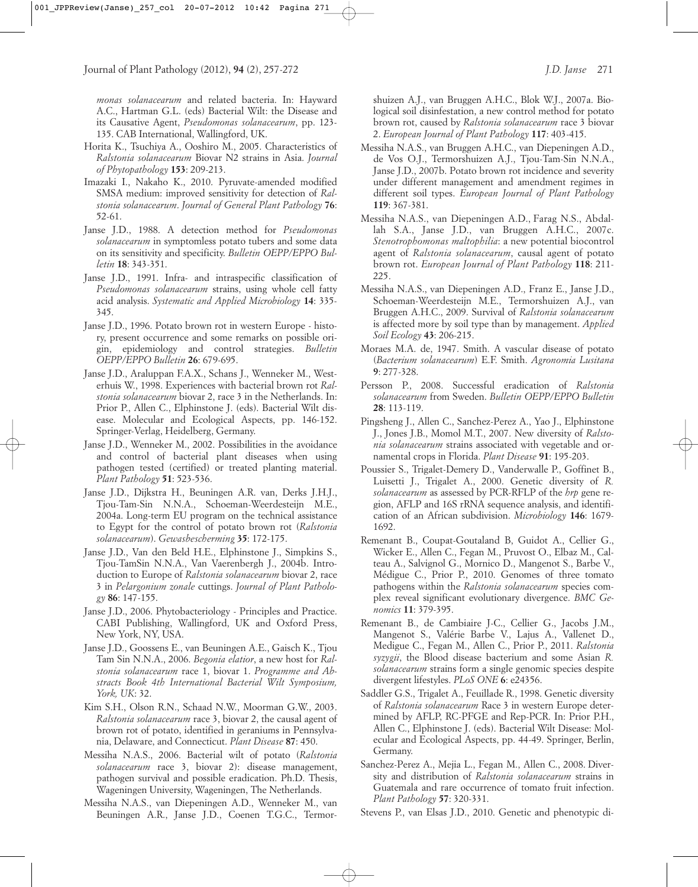*monas solanacearum* and related bacteria. In: Hayward A.C., Hartman G.L. (eds) Bacterial Wilt: the Disease and its Causative Agent, *Pseudomonas solanacearum*, pp. 123- 135. CAB International, Wallingford, UK.

- Horita K., Tsuchiya A., Ooshiro M., 2005. Characteristics of *Ralstonia solanacearum* Biovar N2 strains in Asia. *Journal of Phytopathology* **153**: 209-213.
- Imazaki I., Nakaho K., 2010. Pyruvate-amended modified SMSA medium: improved sensitivity for detection of *Ralstonia solanacearum*. *Journal of General Plant Pathology* **76**: 52-61.
- Janse J.D., 1988. A detection method for *Pseudomonas solanacearum* in symptomless potato tubers and some data on its sensitivity and specificity. *Bulletin OEPP/EPPO Bulletin* **18**: 343-351.
- Janse J.D., 1991. Infra- and intraspecific classification of *Pseudomonas solanacearum* strains, using whole cell fatty acid analysis. *Systematic and Applied Microbiology* **14**: 335- 345.
- Janse J.D., 1996. Potato brown rot in western Europe history, present occurrence and some remarks on possible origin, epidemiology and control strategies. *Bulletin OEPP/EPPO Bulletin* **26**: 679-695.
- Janse J.D., Araluppan F.A.X., Schans J., Wenneker M., Westerhuis W., 1998. Experiences with bacterial brown rot *Ralstonia solanacearum* biovar 2, race 3 in the Netherlands. In: Prior P., Allen C., Elphinstone J. (eds). Bacterial Wilt disease. Molecular and Ecological Aspects, pp. 146-152. Springer-Verlag, Heidelberg, Germany.
- Janse J.D., Wenneker M., 2002. Possibilities in the avoidance and control of bacterial plant diseases when using pathogen tested (certified) or treated planting material. *Plant Pathology* **51**: 523-536.
- Janse J.D., Dijkstra H., Beuningen A.R. van, Derks J.H.J., Tjou-Tam-Sin N.N.A., Schoeman-Weerdesteijn M.E., 2004a. Long-term EU program on the technical assistance to Egypt for the control of potato brown rot (*Ralstonia solanacearum*). *Gewasbescherming* **35**: 172-175.
- Janse J.D., Van den Beld H.E., Elphinstone J., Simpkins S., Tjou-TamSin N.N.A., Van Vaerenbergh J., 2004b. Introduction to Europe of *Ralstonia solanacearum* biovar 2, race 3 in *Pelargonium zonale* cuttings. *Journal of Plant Pathology* **86**: 147-155.
- Janse J.D., 2006. Phytobacteriology Principles and Practice. CABI Publishing, Wallingford, UK and Oxford Press, New York, NY, USA.
- Janse J.D., Goossens E., van Beuningen A.E., Gaisch K., Tjou Tam Sin N.N.A., 2006. *Begonia elatior*, a new host for *Ralstonia solanacearum* race 1, biovar 1. *Programme and Abstracts Book 4th International Bacterial Wilt Symposium, York, UK*: 32.
- Kim S.H., Olson R.N., Schaad N.W., Moorman G.W., 2003. *Ralstonia solanacearum* race 3, biovar 2, the causal agent of brown rot of potato, identified in geraniums in Pennsylvania, Delaware, and Connecticut. *Plant Disease* **87**: 450.
- Messiha N.A.S., 2006. Bacterial wilt of potato (*Ralstonia solanacearum* race 3, biovar 2): disease management, pathogen survival and possible eradication. Ph.D. Thesis, Wageningen University, Wageningen, The Netherlands.
- Messiha N.A.S., van Diepeningen A.D., Wenneker M., van Beuningen A.R., Janse J.D., Coenen T.G.C., Termor-

shuizen A.J., van Bruggen A.H.C., Blok W.J., 2007a. Biological soil disinfestation, a new control method for potato brown rot, caused by *Ralstonia solanacearum* race 3 biovar 2. *European Journal of Plant Pathology* **117**: 403-415.

- Messiha N.A.S., van Bruggen A.H.C., van Diepeningen A.D., de Vos O.J., Termorshuizen A.J., Tjou-Tam-Sin N.N.A., Janse J.D., 2007b. Potato brown rot incidence and severity under different management and amendment regimes in different soil types. *European Journal of Plant Pathology* **119**: 367-381.
- Messiha N.A.S., van Diepeningen A.D., Farag N.S., Abdallah S.A., Janse J.D., van Bruggen A.H.C., 2007c. *Stenotrophomonas maltophilia*: a new potential biocontrol agent of *Ralstonia solanacearum*, causal agent of potato brown rot. *European Journal of Plant Pathology* **118**: 211- 225.
- Messiha N.A.S., van Diepeningen A.D., Franz E., Janse J.D., Schoeman-Weerdesteijn M.E., Termorshuizen A.J., van Bruggen A.H.C., 2009. Survival of *Ralstonia solanacearum* is affected more by soil type than by management. *Applied Soil Ecology* **43**: 206-215.
- Moraes M.A. de, 1947. Smith. A vascular disease of potato (*Bacterium solanacearum*) E.F. Smith. *Agronomia Lusitana* **9**: 277-328.
- Persson P., 2008. Successful eradication of *Ralstonia solanacearum* from Sweden. *Bulletin OEPP/EPPO Bulletin* **28**: 113-119.
- Pingsheng J., Allen C., Sanchez-Perez A., Yao J., Elphinstone J., Jones J.B., Momol M.T., 2007. New diversity of *Ralstonia solanacearum* strains associated with vegetable and ornamental crops in Florida. *Plant Disease* **91**: 195-203.
- Poussier S., Trigalet-Demery D., Vanderwalle P., Goffinet B., Luisetti J., Trigalet A., 2000. Genetic diversity of *R. solanacearum* as assessed by PCR-RFLP of the *hrp* gene region, AFLP and 16S rRNA sequence analysis, and identification of an African subdivision. *Microbiology* **146**: 1679- 1692.
- Remenant B., Coupat-Goutaland B, Guidot A., Cellier G., Wicker E., Allen C., Fegan M., Pruvost O., Elbaz M., Calteau A., Salvignol G., Mornico D., Mangenot S., Barbe V., Médigue C., Prior P., 2010. Genomes of three tomato pathogens within the *Ralstonia solanacearum* species complex reveal significant evolutionary divergence. *BMC Genomics* **11**: 379-395.
- Remenant B., de Cambiaire J-C., Cellier G., Jacobs J.M., Mangenot S., Valérie Barbe V., Lajus A., Vallenet D., Medigue C., Fegan M., Allen C., Prior P., 2011. *Ralstonia syzygii*, the Blood disease bacterium and some Asian *R. solanacearum* strains form a single genomic species despite divergent lifestyles. *PLoS ONE* **6**: e24356.
- Saddler G.S., Trigalet A., Feuillade R., 1998. Genetic diversity of *Ralstonia solanacearum* Race 3 in western Europe determined by AFLP, RC-PFGE and Rep-PCR. In: Prior P.H., Allen C., Elphinstone J. (eds). Bacterial Wilt Disease: Molecular and Ecological Aspects, pp. 44-49. Springer, Berlin, Germany.
- Sanchez-Perez A., Mejia L., Fegan M., Allen C., 2008. Diversity and distribution of *Ralstonia solanacearum* strains in Guatemala and rare occurrence of tomato fruit infection. *Plant Pathology* **57**: 320-331.

Stevens P., van Elsas J.D., 2010. Genetic and phenotypic di-